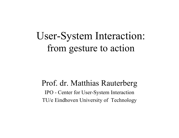# User-System Interaction: from gesture to action

#### Prof. dr. Matthias Rauterberg

IPO - Center for User-System Interaction TU/e Eindhoven University of Technology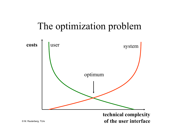## The optimization problem



**of the user interface**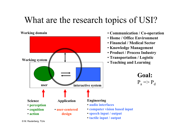## What are the research topics of USI?



- **Working domain Communication / Co-operation**
	- **Home / Office Environment**
	- **Financial / Medical Sector**
	- **Knowledge Management**
	- **Product / Process Industry**
	- **Transportation / Logistic**
	-



- **computer vision based input**
- **speech input / output**
- **tactile input / output**

© M. Rauterberg, TU/e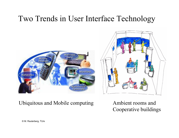### Two Trends in User Interface Technology





Cooperative buildings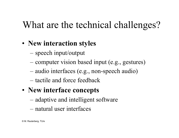# What are the technical challenges?

#### • **New interaction styles**

- $$ speech input/output
- –computer vision based input (e.g., gestures)
- –audio interfaces (e.g., non-speech audio)
- tactile and force feedback
- **New interface concepts**
	- –adaptive and intelligent software
	- natural user interfaces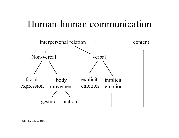## Human-human communication

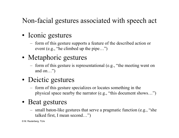#### Non-facial gestures associated with speech act

- Iconic gestures
	- – form of this gesture supports a feature of the described action or event (e.g., "he climbed up the pipe…")
- Metaphoric gestures
	- – form of this gesture is representational (e.g., "the meeting went on and on…")
- Deictic gestures
	- form of this gesture specializes or locates something in the physical space nearby the narrator (e.g., "this document shows…")

#### • Beat gestures

 small baton-like gestures that serve a pragmatic function (e.g., "she talked first, I mean second…")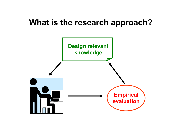### **What is the research approach?**

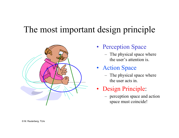## The most important design principle



- Perception Space
	- – The physical space where the user's attention is.
- • Action Space
	- – The physical space where the user acts in.
- Design Principle:
	- – perception space and action space must coincide!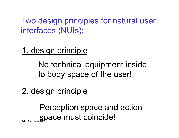Two design principles for natural user interfaces (NUIs):

1. design principle

No technical equipment inside to body space of the user!

2. design principle

© M. Rauterberg Perception space and action space must coincide!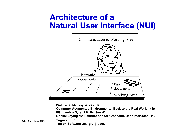### **Architecture of a Natural User Interface (NUI)**



**Wellner P, Mackay W, Gold R:** 

**Computer-Augmented Environments: Back to the Real World. (19 Fitzmaurice G, Ishii H, Buxton W:** 

**Bricks: Laying the Foundations for Graspable User Interfaces. (19**

**Tognazzini B:** 

**Tog on Software Design. (1996).**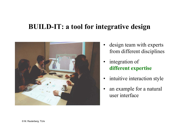#### **BUILD-IT: a tool for integrative design**



- $\bullet$  design team with experts from different disciplines
- • integration of **different expertise**
- •intuitive interaction style
- • an example for a natural user interface